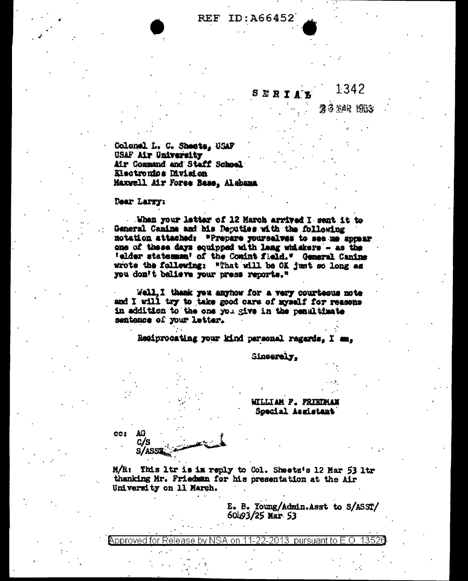## 1342 ERIA

26 YAR 1953

Colonel L. C. Shests, USAF USAF Air University Air Command and Staff School Electronics Division Maxwell Air Force Base, Alabama

## Dear Larry:

When your letter of 12 March arrived I sent it to General Canine and his Deputies with the following notation attached: "Prepare yourselves to see me appear one of these days equipped with leng whiskers - as the 'elder statesman' of the Comint field." General Canine wrote the following: "That will be OK just so long as you don't balieve your press reports."

Well, I thank you anyhow for a very courteous note and I will try to take good care of myself for reasons in addition to the one you give in the penultimate sentence of your letter.

Regiprocating your kind personal regards. I am.

Sincerely.

WILLIAM F. FRIEDMAN Special Assistant

CC2 AG C/S

S/ASS1

M/R: This ltr is in reply to Col. Sheetz's 12 Mar 53 ltr thanking Mr. Friedman for his presentation at the Air University on 11 March.

> E. B. Young/Admin.Asst to S/ASST/ 60493/25 Mar 53

Approved for Release bv NSA on 11-22-2013 pursuant to E.O. 1352